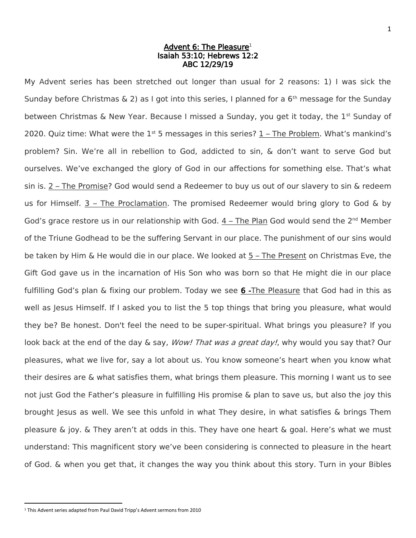## Advent 6: The Pleasure<del>'</del> Isaiah 53:10; Hebrews 12:2 ABC 12/29/19

My Advent series has been stretched out longer than usual for 2 reasons: 1) I was sick the Sunday before Christmas  $\& 2$ ) as I got into this series, I planned for a 6<sup>th</sup> message for the Sunday between Christmas & New Year. Because I missed a Sunday, you get it today, the  $1^{st}$  Sunday of 2020. Quiz time: What were the  $1<sup>st</sup>$  5 messages in this series?  $1$  – The Problem. What's mankind's problem? Sin. We're all in rebellion to God, addicted to sin, & don't want to serve God but ourselves. We've exchanged the glory of God in our affections for something else. That's what sin is. 2 – The Promise? God would send a Redeemer to buy us out of our slavery to sin & redeem us for Himself. 3 – The Proclamation. The promised Redeemer would bring glory to God & by God's grace restore us in our relationship with God.  $4$  – The Plan God would send the  $2^{nd}$  Member of the Triune Godhead to be the suffering Servant in our place. The punishment of our sins would be taken by Him & He would die in our place. We looked at 5 – The Present on Christmas Eve, the Gift God gave us in the incarnation of His Son who was born so that He might die in our place fulfilling God's plan & fixing our problem. Today we see 6 -The Pleasure that God had in this as well as Jesus Himself. If I asked you to list the 5 top things that bring you pleasure, what would they be? Be honest. Don't feel the need to be super-spiritual. What brings you pleasure? If you look back at the end of the day & say, *Wow! That was a great day!*, why would you say that? Our pleasures, what we live for, say a lot about us. You know someone's heart when you know what their desires are & what satisfies them, what brings them pleasure. This morning I want us to see not just God the Father's pleasure in fulfilling His promise & plan to save us, but also the joy this brought Jesus as well. We see this unfold in what They desire, in what satisfies & brings Them pleasure & joy. & They aren't at odds in this. They have one heart & goal. Here's what we must understand: This magnificent story we've been considering is connected to pleasure in the heart of God. & when you get that, it changes the way you think about this story. Turn in your Bibles

l

<sup>1</sup> This Advent series adapted from Paul David Tripp's Advent sermons from 2010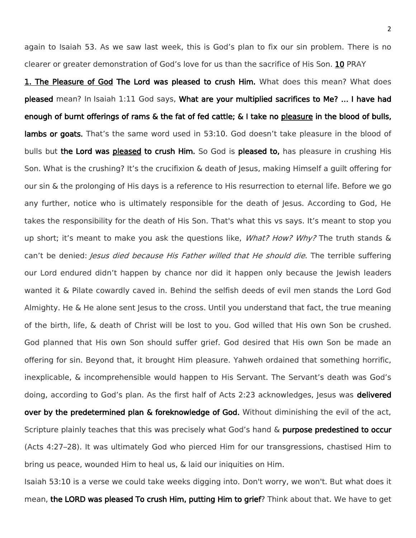again to Isaiah 53. As we saw last week, this is God's plan to fix our sin problem. There is no clearer or greater demonstration of God's love for us than the sacrifice of His Son. 10 PRAY

1. The Pleasure of God The Lord was pleased to crush Him. What does this mean? What does pleased mean? In Isaiah 1:11 God says, What are your multiplied sacrifices to Me? … I have had enough of burnt offerings of rams & the fat of fed cattle; & I take no pleasure in the blood of bulls, lambs or goats. That's the same word used in 53:10. God doesn't take pleasure in the blood of bulls but the Lord was pleased to crush Him. So God is pleased to, has pleasure in crushing His Son. What is the crushing? It's the crucifixion & death of Jesus, making Himself a guilt offering for our sin & the prolonging of His days is a reference to His resurrection to eternal life. Before we go any further, notice who is ultimately responsible for the death of Jesus. According to God, He takes the responsibility for the death of His Son. That's what this vs says. It's meant to stop you up short; it's meant to make you ask the questions like, *What? How? Why?* The truth stands & can't be denied: *Jesus died because His Father willed that He should die*. The terrible suffering our Lord endured didn't happen by chance nor did it happen only because the Jewish leaders wanted it & Pilate cowardly caved in. Behind the selfish deeds of evil men stands the Lord God Almighty. He & He alone sent Jesus to the cross. Until you understand that fact, the true meaning of the birth, life, & death of Christ will be lost to you. God willed that His own Son be crushed. God planned that His own Son should suffer grief. God desired that His own Son be made an offering for sin. Beyond that, it brought Him pleasure. Yahweh ordained that something horrific, inexplicable, & incomprehensible would happen to His Servant. The Servant's death was God's doing, according to God's plan. As the first half of Acts 2:23 acknowledges, Jesus was delivered over by the predetermined plan & foreknowledge of God. Without diminishing the evil of the act, Scripture plainly teaches that this was precisely what God's hand & purpose predestined to occur (Acts 4:27–28). It was ultimately God who pierced Him for our transgressions, chastised Him to bring us peace, wounded Him to heal us, & laid our iniquities on Him.

Isaiah 53:10 is a verse we could take weeks digging into. Don't worry, we won't. But what does it mean, the LORD was pleased To crush Him, putting Him to grief? Think about that. We have to get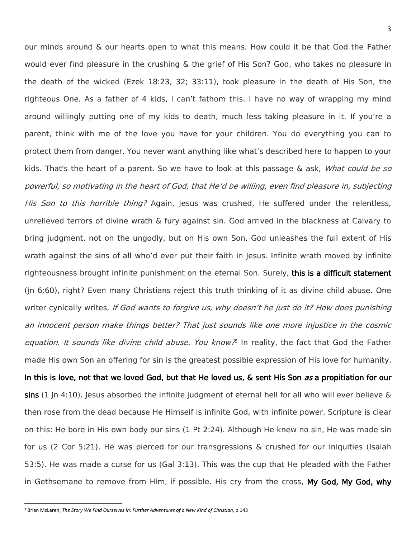our minds around & our hearts open to what this means. How could it be that God the Father would ever find pleasure in the crushing & the grief of His Son? God, who takes no pleasure in the death of the wicked (Ezek 18:23, 32; 33:11), took pleasure in the death of His Son, the righteous One. As a father of 4 kids, I can't fathom this. I have no way of wrapping my mind around willingly putting one of my kids to death, much less taking pleasure in it. If you're a parent, think with me of the love you have for your children. You do everything you can to protect them from danger. You never want anything like what's described here to happen to your kids. That's the heart of a parent. So we have to look at this passage & ask, *What could be so* powerful, so motivating in the heart of God, that He'd be willing, even find pleasure in, subjecting His Son to this horrible thing? Again, Jesus was crushed, He suffered under the relentless, unrelieved terrors of divine wrath & fury against sin. God arrived in the blackness at Calvary to bring judgment, not on the ungodly, but on His own Son. God unleashes the full extent of His wrath against the sins of all who'd ever put their faith in Jesus. Infinite wrath moved by infinite righteousness brought infinite punishment on the eternal Son. Surely, this is a difficult statement (Jn 6:60), right? Even many Christians reject this truth thinking of it as divine child abuse. One writer cynically writes, If God wants to forgive us, why doesn't he just do it? How does punishing an innocent person make things better? That just sounds like one more injustice in the cosmic equation. It sounds like divine child abuse. You know? In reality, the fact that God the Father made His own Son an offering for sin is the greatest possible expression of His love for humanity. In this is love, not that we loved God, but that He loved us, & sent His Son as a propitiation for our sins (1 Jn 4:10). Jesus absorbed the infinite judgment of eternal hell for all who will ever believe & then rose from the dead because He Himself is infinite God, with infinite power. Scripture is clear on this: He bore in His own body our sins (1 Pt 2:24). Although He knew no sin, He was made sin for us (2 Cor 5:21). He was pierced for our transgressions & crushed for our iniquities (Isaiah 53:5). He was made a curse for us (Gal 3:13). This was the cup that He pleaded with the Father in Gethsemane to remove from Him, if possible. His cry from the cross, My God, My God, why

l

<sup>2</sup> Brian McLaren, *The Story We Find Ourselves In: Further Adventures of a New Kind of Christian*, p 143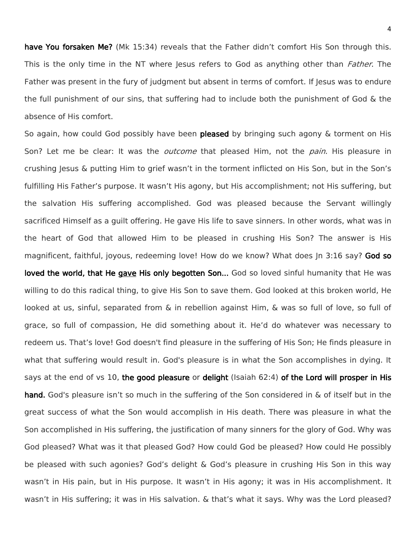have You forsaken Me? (Mk 15:34) reveals that the Father didn't comfort His Son through this. This is the only time in the NT where lesus refers to God as anything other than *Father*. The Father was present in the fury of judgment but absent in terms of comfort. If Jesus was to endure the full punishment of our sins, that suffering had to include both the punishment of God & the absence of His comfort.

So again, how could God possibly have been pleased by bringing such agony & torment on His Son? Let me be clear: It was the *outcome* that pleased Him, not the *pain*. His pleasure in crushing Jesus & putting Him to grief wasn't in the torment inflicted on His Son, but in the Son's fulfilling His Father's purpose. It wasn't His agony, but His accomplishment; not His suffering, but the salvation His suffering accomplished. God was pleased because the Servant willingly sacrificed Himself as a guilt offering. He gave His life to save sinners. In other words, what was in the heart of God that allowed Him to be pleased in crushing His Son? The answer is His magnificent, faithful, joyous, redeeming love! How do we know? What does In 3:16 say? God so loved the world, that He gave His only begotten Son... God so loved sinful humanity that He was willing to do this radical thing, to give His Son to save them. God looked at this broken world, He looked at us, sinful, separated from & in rebellion against Him, & was so full of love, so full of grace, so full of compassion, He did something about it. He'd do whatever was necessary to redeem us. That's love! God doesn't find pleasure in the suffering of His Son; He finds pleasure in what that suffering would result in. God's pleasure is in what the Son accomplishes in dying. It says at the end of vs 10, the good pleasure or delight (Isaiah 62:4) of the Lord will prosper in His hand. God's pleasure isn't so much in the suffering of the Son considered in & of itself but in the great success of what the Son would accomplish in His death. There was pleasure in what the Son accomplished in His suffering, the justification of many sinners for the glory of God. Why was God pleased? What was it that pleased God? How could God be pleased? How could He possibly be pleased with such agonies? God's delight & God's pleasure in crushing His Son in this way wasn't in His pain, but in His purpose. It wasn't in His agony; it was in His accomplishment. It wasn't in His suffering; it was in His salvation. & that's what it says. Why was the Lord pleased?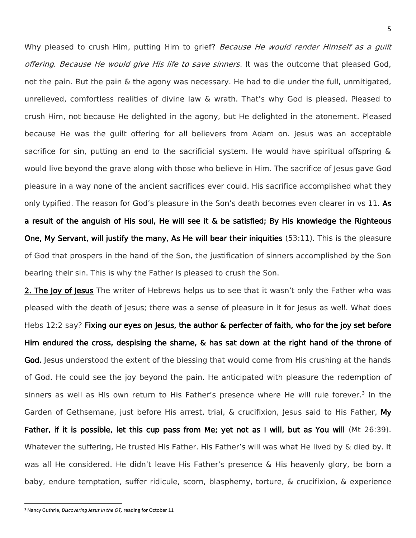Why pleased to crush Him, putting Him to grief? Because He would render Himself as a quilt offering. Because He would give His life to save sinners. It was the outcome that pleased God, not the pain. But the pain & the agony was necessary. He had to die under the full, unmitigated, unrelieved, comfortless realities of divine law & wrath. That's why God is pleased. Pleased to crush Him, not because He delighted in the agony, but He delighted in the atonement. Pleased because He was the guilt offering for all believers from Adam on. Jesus was an acceptable sacrifice for sin, putting an end to the sacrificial system. He would have spiritual offspring & would live beyond the grave along with those who believe in Him. The sacrifice of Jesus gave God pleasure in a way none of the ancient sacrifices ever could. His sacrifice accomplished what they only typified. The reason for God's pleasure in the Son's death becomes even clearer in vs 11. As a result of the anguish of His soul, He will see it & be satisfied; By His knowledge the Righteous One, My Servant, will justify the many, As He will bear their iniquities (53:11). This is the pleasure of God that prospers in the hand of the Son, the justification of sinners accomplished by the Son bearing their sin. This is why the Father is pleased to crush the Son.

2. The Joy of Jesus The writer of Hebrews helps us to see that it wasn't only the Father who was pleased with the death of Jesus; there was a sense of pleasure in it for Jesus as well. What does Hebs 12:2 say? Fixing our eyes on Jesus, the author & perfecter of faith, who for the joy set before Him endured the cross, despising the shame, & has sat down at the right hand of the throne of God. Jesus understood the extent of the blessing that would come from His crushing at the hands of God. He could see the joy beyond the pain. He anticipated with pleasure the redemption of sinners as well as His own return to His Father's presence where He will rule forever.<sup>3</sup> In the Garden of Gethsemane, just before His arrest, trial, & crucifixion, lesus said to His Father, My Father, if it is possible, let this cup pass from Me; yet not as I will, but as You will (Mt 26:39). Whatever the suffering, He trusted His Father. His Father's will was what He lived by & died by. It was all He considered. He didn't leave His Father's presence & His heavenly glory, be born a baby, endure temptation, suffer ridicule, scorn, blasphemy, torture, & crucifixion, & experience

l

<sup>3</sup> Nancy Guthrie, *Discovering Jesus in the OT,* reading for October 11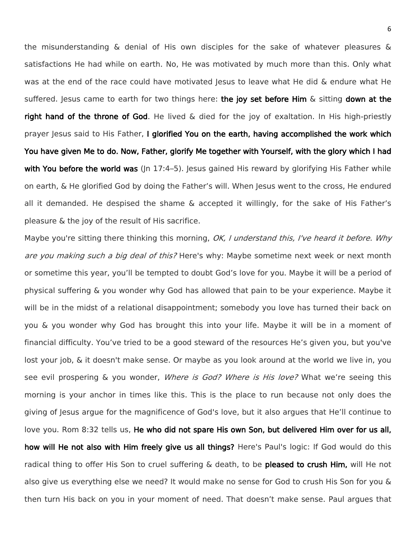the misunderstanding & denial of His own disciples for the sake of whatever pleasures & satisfactions He had while on earth. No, He was motivated by much more than this. Only what was at the end of the race could have motivated Jesus to leave what He did & endure what He suffered. Jesus came to earth for two things here: the joy set before Him & sitting down at the right hand of the throne of God. He lived & died for the joy of exaltation. In His high-priestly prayer Jesus said to His Father, I glorified You on the earth, having accomplished the work which You have given Me to do. Now, Father, glorify Me together with Yourself, with the glory which I had with You before the world was (In 17:4–5). Jesus gained His reward by glorifying His Father while on earth, & He glorified God by doing the Father's will. When Jesus went to the cross, He endured all it demanded. He despised the shame & accepted it willingly, for the sake of His Father's pleasure & the joy of the result of His sacrifice.

Maybe you're sitting there thinking this morning, OK, I understand this, I've heard it before. Why are you making such a big deal of this? Here's why: Maybe sometime next week or next month or sometime this year, you'll be tempted to doubt God's love for you. Maybe it will be a period of physical suffering & you wonder why God has allowed that pain to be your experience. Maybe it will be in the midst of a relational disappointment; somebody you love has turned their back on you & you wonder why God has brought this into your life. Maybe it will be in a moment of financial difficulty. You've tried to be a good steward of the resources He's given you, but you've lost your job, & it doesn't make sense. Or maybe as you look around at the world we live in, you see evil prospering & you wonder, Where is God? Where is His love? What we're seeing this morning is your anchor in times like this. This is the place to run because not only does the giving of Jesus argue for the magnificence of God's love, but it also argues that He'll continue to love you. Rom 8:32 tells us, He who did not spare His own Son, but delivered Him over for us all, how will He not also with Him freely give us all things? Here's Paul's logic: If God would do this radical thing to offer His Son to cruel suffering & death, to be **pleased to crush Him,** will He not also give us everything else we need? It would make no sense for God to crush His Son for you & then turn His back on you in your moment of need. That doesn't make sense. Paul argues that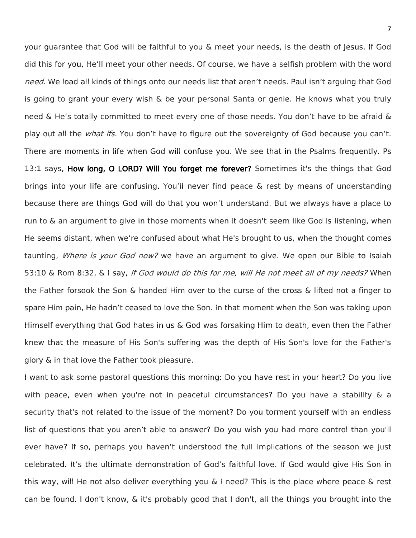your guarantee that God will be faithful to you & meet your needs, is the death of Jesus. If God did this for you, He'll meet your other needs. Of course, we have a selfish problem with the word need. We load all kinds of things onto our needs list that aren't needs. Paul isn't arguing that God is going to grant your every wish & be your personal Santa or genie. He knows what you truly need & He's totally committed to meet every one of those needs. You don't have to be afraid & play out all the *what ifs.* You don't have to figure out the sovereignty of God because you can't. There are moments in life when God will confuse you. We see that in the Psalms frequently. Ps 13:1 says, How long, O LORD? Will You forget me forever? Sometimes it's the things that God brings into your life are confusing. You'll never find peace & rest by means of understanding because there are things God will do that you won't understand. But we always have a place to run to & an argument to give in those moments when it doesn't seem like God is listening, when He seems distant, when we're confused about what He's brought to us, when the thought comes taunting, *Where is your God now?* we have an argument to give. We open our Bible to Isaiah 53:10 & Rom 8:32, & I say, If God would do this for me, will He not meet all of my needs? When the Father forsook the Son & handed Him over to the curse of the cross & lifted not a finger to spare Him pain, He hadn't ceased to love the Son. In that moment when the Son was taking upon Himself everything that God hates in us & God was forsaking Him to death, even then the Father knew that the measure of His Son's suffering was the depth of His Son's love for the Father's glory & in that love the Father took pleasure.

I want to ask some pastoral questions this morning: Do you have rest in your heart? Do you live with peace, even when you're not in peaceful circumstances? Do you have a stability & a security that's not related to the issue of the moment? Do you torment yourself with an endless list of questions that you aren't able to answer? Do you wish you had more control than you'll ever have? If so, perhaps you haven't understood the full implications of the season we just celebrated. It's the ultimate demonstration of God's faithful love. If God would give His Son in this way, will He not also deliver everything you & I need? This is the place where peace & rest can be found. I don't know, & it's probably good that I don't, all the things you brought into the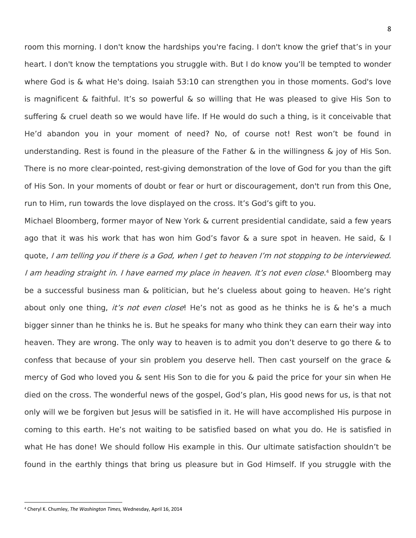room this morning. I don't know the hardships you're facing. I don't know the grief that's in your heart. I don't know the temptations you struggle with. But I do know you'll be tempted to wonder where God is & what He's doing. Isaiah 53:10 can strengthen you in those moments. God's love is magnificent & faithful. It's so powerful & so willing that He was pleased to give His Son to suffering & cruel death so we would have life. If He would do such a thing, is it conceivable that He'd abandon you in your moment of need? No, of course not! Rest won't be found in understanding. Rest is found in the pleasure of the Father & in the willingness & joy of His Son. There is no more clear-pointed, rest-giving demonstration of the love of God for you than the gift of His Son. In your moments of doubt or fear or hurt or discouragement, don't run from this One, run to Him, run towards the love displayed on the cross. It's God's gift to you.

Michael Bloomberg, former mayor of New York & current presidential candidate, said a few years ago that it was his work that has won him God's favor & a sure spot in heaven. He said, & I quote, I am telling you if there is a God, when I get to heaven I'm not stopping to be interviewed. I am heading straight in. I have earned my place in heaven. It's not even close.<sup>4</sup> Bloomberg may be a successful business man & politician, but he's clueless about going to heaven. He's right about only one thing, *it's not even close*! He's not as good as he thinks he is & he's a much bigger sinner than he thinks he is. But he speaks for many who think they can earn their way into heaven. They are wrong. The only way to heaven is to admit you don't deserve to go there & to confess that because of your sin problem you deserve hell. Then cast yourself on the grace & mercy of God who loved you & sent His Son to die for you & paid the price for your sin when He died on the cross. The wonderful news of the gospel, God's plan, His good news for us, is that not only will we be forgiven but Jesus will be satisfied in it. He will have accomplished His purpose in coming to this earth. He's not waiting to be satisfied based on what you do. He is satisfied in what He has done! We should follow His example in this. Our ultimate satisfaction shouldn't be found in the earthly things that bring us pleasure but in God Himself. If you struggle with the

 $\overline{\phantom{a}}$ 

<sup>4</sup> Cheryl K. Chumley, *The Washington Times,* Wednesday, April 16, 2014